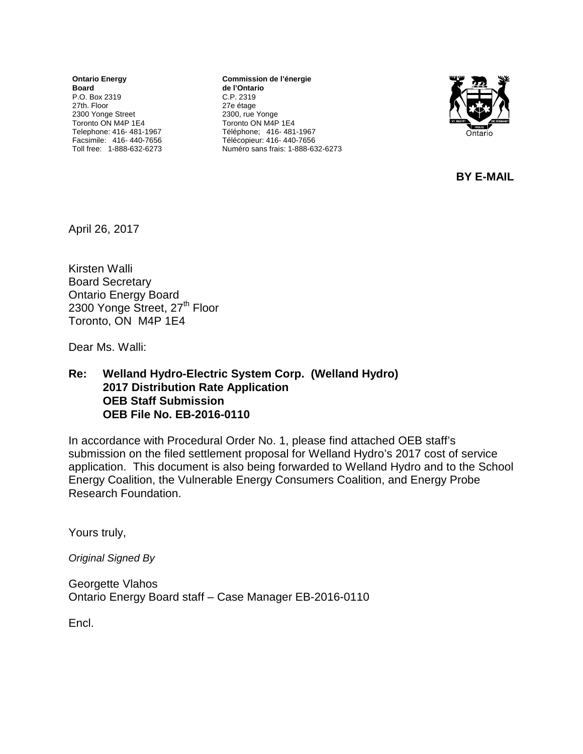**Ontario Energy Board** P.O. Box 2319 27th. Floor 2300 Yonge Street Toronto ON M4P 1E4 Telephone: 416- 481-1967 Facsimile: 416- 440-7656 Toll free: 1-888-632-6273

**Commission de l'énergie de l'Ontario** C.P. 2319 27e étage 2300, rue Yonge Toronto ON M4P 1E4 Téléphone; 416- 481-1967 Télécopieur: 416- 440-7656 Numéro sans frais: 1-888-632-6273



**BY E-MAIL**

April 26, 2017

Kirsten Walli Board Secretary Ontario Energy Board 2300 Yonge Street, 27<sup>th</sup> Floor Toronto, ON M4P 1E4

Dear Ms. Walli:

#### **Re: Welland Hydro-Electric System Corp. (Welland Hydro) 2017 Distribution Rate Application OEB Staff Submission OEB File No. EB-2016-0110**

In accordance with Procedural Order No. 1, please find attached OEB staff's submission on the filed settlement proposal for Welland Hydro's 2017 cost of service application. This document is also being forwarded to Welland Hydro and to the School Energy Coalition, the Vulnerable Energy Consumers Coalition, and Energy Probe Research Foundation.

Yours truly,

*Original Signed By*

Georgette Vlahos Ontario Energy Board staff – Case Manager EB-2016-0110

Encl.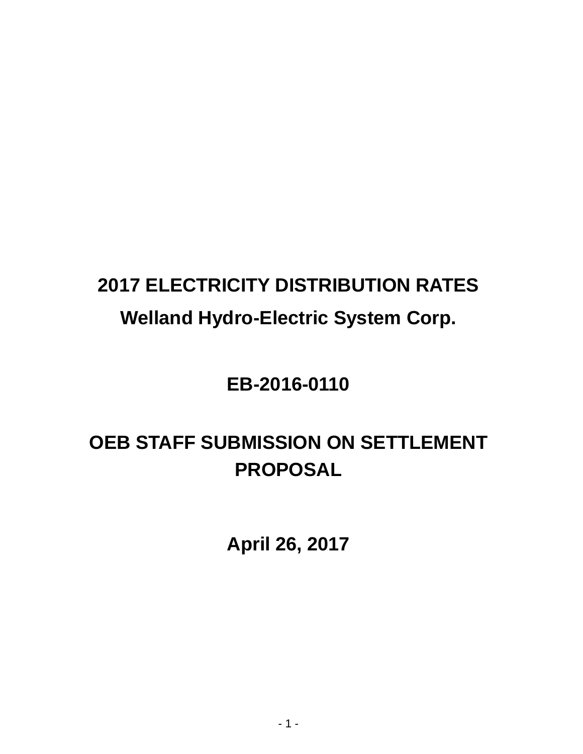# **2017 ELECTRICITY DISTRIBUTION RATES Welland Hydro-Electric System Corp.**

# **EB-2016-0110**

# **OEB STAFF SUBMISSION ON SETTLEMENT PROPOSAL**

**April 26, 2017**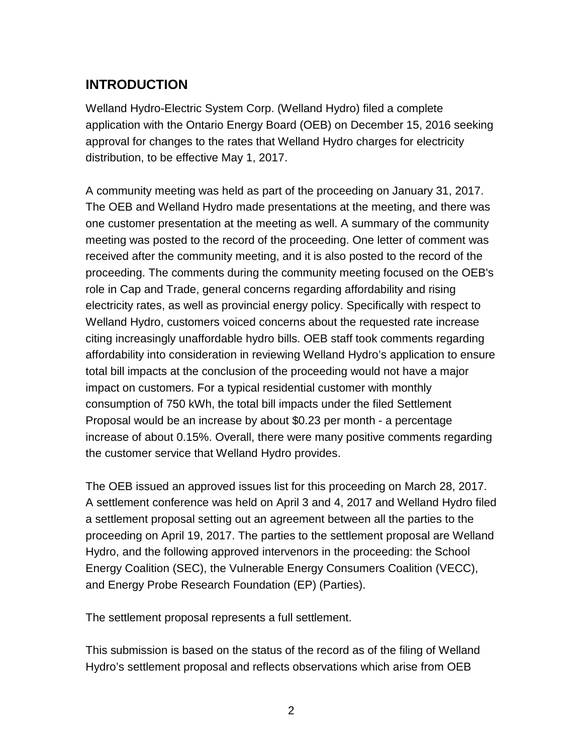# **INTRODUCTION**

Welland Hydro-Electric System Corp. (Welland Hydro) filed a complete application with the Ontario Energy Board (OEB) on December 15, 2016 seeking approval for changes to the rates that Welland Hydro charges for electricity distribution, to be effective May 1, 2017.

A community meeting was held as part of the proceeding on January 31, 2017. The OEB and Welland Hydro made presentations at the meeting, and there was one customer presentation at the meeting as well. A summary of the community meeting was posted to the record of the proceeding. One letter of comment was received after the community meeting, and it is also posted to the record of the proceeding. The comments during the community meeting focused on the OEB's role in Cap and Trade, general concerns regarding affordability and rising electricity rates, as well as provincial energy policy. Specifically with respect to Welland Hydro, customers voiced concerns about the requested rate increase citing increasingly unaffordable hydro bills. OEB staff took comments regarding affordability into consideration in reviewing Welland Hydro's application to ensure total bill impacts at the conclusion of the proceeding would not have a major impact on customers. For a typical residential customer with monthly consumption of 750 kWh, the total bill impacts under the filed Settlement Proposal would be an increase by about \$0.23 per month - a percentage increase of about 0.15%. Overall, there were many positive comments regarding the customer service that Welland Hydro provides.

The OEB issued an approved issues list for this proceeding on March 28, 2017. A settlement conference was held on April 3 and 4, 2017 and Welland Hydro filed a settlement proposal setting out an agreement between all the parties to the proceeding on April 19, 2017. The parties to the settlement proposal are Welland Hydro, and the following approved intervenors in the proceeding: the School Energy Coalition (SEC), the Vulnerable Energy Consumers Coalition (VECC), and Energy Probe Research Foundation (EP) (Parties).

The settlement proposal represents a full settlement.

This submission is based on the status of the record as of the filing of Welland Hydro's settlement proposal and reflects observations which arise from OEB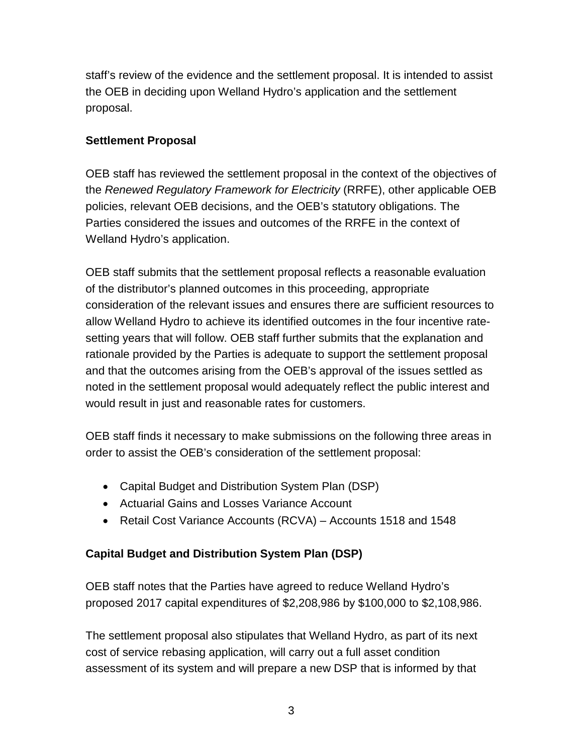staff's review of the evidence and the settlement proposal. It is intended to assist the OEB in deciding upon Welland Hydro's application and the settlement proposal.

### **Settlement Proposal**

OEB staff has reviewed the settlement proposal in the context of the objectives of the *Renewed Regulatory Framework for Electricity* (RRFE), other applicable OEB policies, relevant OEB decisions, and the OEB's statutory obligations. The Parties considered the issues and outcomes of the RRFE in the context of Welland Hydro's application.

OEB staff submits that the settlement proposal reflects a reasonable evaluation of the distributor's planned outcomes in this proceeding, appropriate consideration of the relevant issues and ensures there are sufficient resources to allow Welland Hydro to achieve its identified outcomes in the four incentive ratesetting years that will follow. OEB staff further submits that the explanation and rationale provided by the Parties is adequate to support the settlement proposal and that the outcomes arising from the OEB's approval of the issues settled as noted in the settlement proposal would adequately reflect the public interest and would result in just and reasonable rates for customers.

OEB staff finds it necessary to make submissions on the following three areas in order to assist the OEB's consideration of the settlement proposal:

- Capital Budget and Distribution System Plan (DSP)
- Actuarial Gains and Losses Variance Account
- Retail Cost Variance Accounts (RCVA) Accounts 1518 and 1548

# **Capital Budget and Distribution System Plan (DSP)**

OEB staff notes that the Parties have agreed to reduce Welland Hydro's proposed 2017 capital expenditures of \$2,208,986 by \$100,000 to \$2,108,986.

The settlement proposal also stipulates that Welland Hydro, as part of its next cost of service rebasing application, will carry out a full asset condition assessment of its system and will prepare a new DSP that is informed by that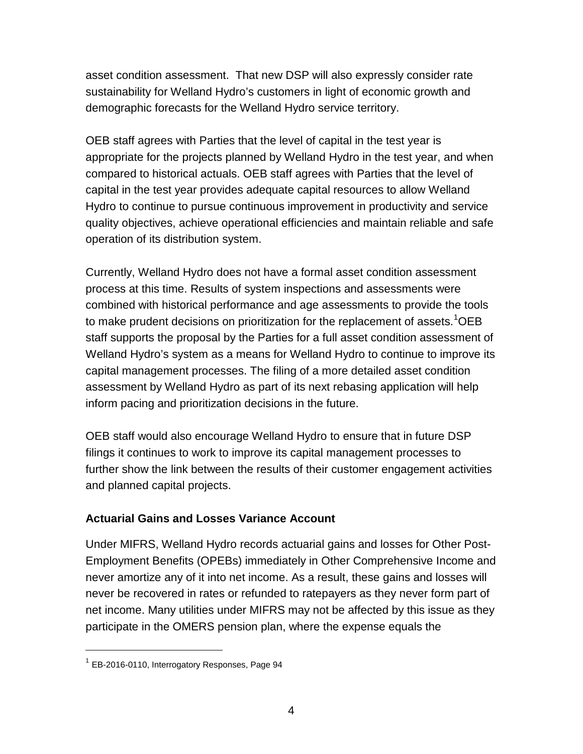asset condition assessment. That new DSP will also expressly consider rate sustainability for Welland Hydro's customers in light of economic growth and demographic forecasts for the Welland Hydro service territory.

OEB staff agrees with Parties that the level of capital in the test year is appropriate for the projects planned by Welland Hydro in the test year, and when compared to historical actuals. OEB staff agrees with Parties that the level of capital in the test year provides adequate capital resources to allow Welland Hydro to continue to pursue continuous improvement in productivity and service quality objectives, achieve operational efficiencies and maintain reliable and safe operation of its distribution system.

Currently, Welland Hydro does not have a formal asset condition assessment process at this time. Results of system inspections and assessments were combined with historical performance and age assessments to provide the tools to make prudent decisions on prioritization for the replacement of assets.<sup>[1](#page-4-0)</sup>OEB staff supports the proposal by the Parties for a full asset condition assessment of Welland Hydro's system as a means for Welland Hydro to continue to improve its capital management processes. The filing of a more detailed asset condition assessment by Welland Hydro as part of its next rebasing application will help inform pacing and prioritization decisions in the future.

OEB staff would also encourage Welland Hydro to ensure that in future DSP filings it continues to work to improve its capital management processes to further show the link between the results of their customer engagement activities and planned capital projects.

# **Actuarial Gains and Losses Variance Account**

Under MIFRS, Welland Hydro records actuarial gains and losses for Other Post-Employment Benefits (OPEBs) immediately in Other Comprehensive Income and never amortize any of it into net income. As a result, these gains and losses will never be recovered in rates or refunded to ratepayers as they never form part of net income. Many utilities under MIFRS may not be affected by this issue as they participate in the OMERS pension plan, where the expense equals the

<span id="page-4-0"></span> $1$  EB-2016-0110, Interrogatory Responses, Page 94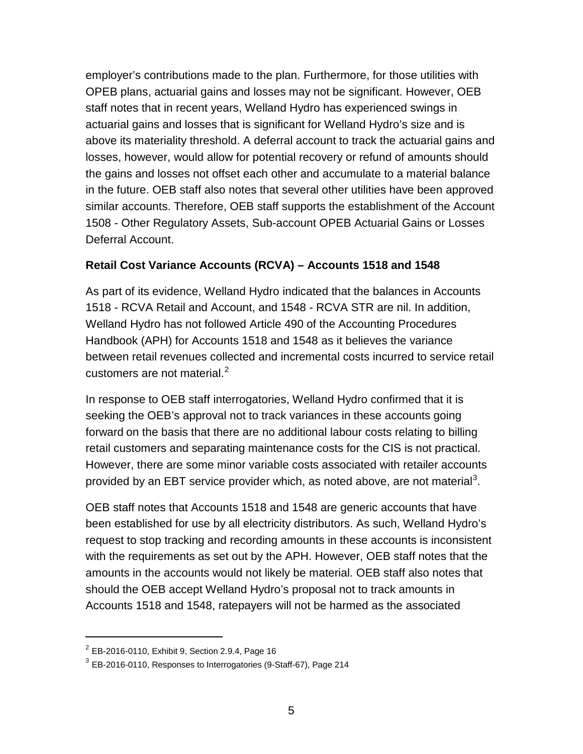employer's contributions made to the plan. Furthermore, for those utilities with OPEB plans, actuarial gains and losses may not be significant. However, OEB staff notes that in recent years, Welland Hydro has experienced swings in actuarial gains and losses that is significant for Welland Hydro's size and is above its materiality threshold. A deferral account to track the actuarial gains and losses, however, would allow for potential recovery or refund of amounts should the gains and losses not offset each other and accumulate to a material balance in the future. OEB staff also notes that several other utilities have been approved similar accounts. Therefore, OEB staff supports the establishment of the Account 1508 - Other Regulatory Assets, Sub-account OPEB Actuarial Gains or Losses Deferral Account.

### **Retail Cost Variance Accounts (RCVA) – Accounts 1518 and 1548**

As part of its evidence, Welland Hydro indicated that the balances in Accounts 1518 - RCVA Retail and Account, and 1548 - RCVA STR are nil. In addition, Welland Hydro has not followed Article 490 of the Accounting Procedures Handbook (APH) for Accounts 1518 and 1548 as it believes the variance between retail revenues collected and incremental costs incurred to service retail customers are not material. $<sup>2</sup>$  $<sup>2</sup>$  $<sup>2</sup>$ </sup>

In response to OEB staff interrogatories, Welland Hydro confirmed that it is seeking the OEB's approval not to track variances in these accounts going forward on the basis that there are no additional labour costs relating to billing retail customers and separating maintenance costs for the CIS is not practical. However, there are some minor variable costs associated with retailer accounts provided by an EBT service provider which, as noted above, are not material<sup>[3](#page-5-1)</sup>.

OEB staff notes that Accounts 1518 and 1548 are generic accounts that have been established for use by all electricity distributors. As such, Welland Hydro's request to stop tracking and recording amounts in these accounts is inconsistent with the requirements as set out by the APH. However, OEB staff notes that the amounts in the accounts would not likely be material. OEB staff also notes that should the OEB accept Welland Hydro's proposal not to track amounts in Accounts 1518 and 1548, ratepayers will not be harmed as the associated

<span id="page-5-0"></span> $2^{2}$  EB-2016-0110, Exhibit 9, Section 2.9.4, Page 16

<span id="page-5-1"></span><sup>3</sup> EB-2016-0110, Responses to Interrogatories (9-Staff-67), Page 214